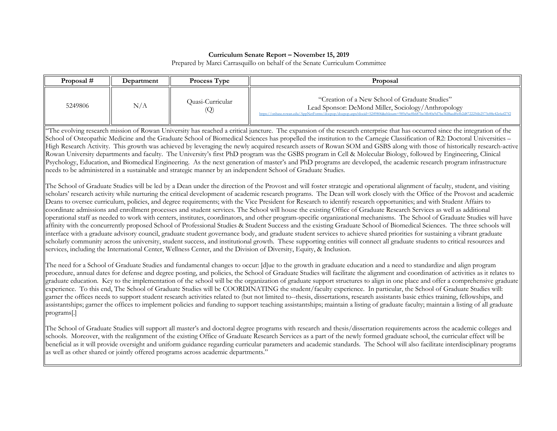### **Curriculum Senate Report – November 15, 2019**

Prepared by Marci Carrasquillo on behalf of the Senate Curriculum Committee

| Proposal # | Department | <b>Process Type</b>     | Proposal                                                                                                                                                                                                                                               |
|------------|------------|-------------------------|--------------------------------------------------------------------------------------------------------------------------------------------------------------------------------------------------------------------------------------------------------|
| 5249806    | N/A        | Ouasi-Curricular<br>(Q) | "Creation of a New School of Graduate Studies"<br>Lead Sponsor: DeMond Miller, Sociology/Anthropology<br>https://onbase.rowan.edu/AppNetForms/docpop/docpop.aspx?docid=5249806&chksum=989a9ac8b687bc3fb40a9d7be3fd8aed0cfb2d8722256b2573c88c42c6ef27f2 |

"The evolving research mission of Rowan University has reached a critical juncture. The expansion of the research enterprise that has occurred since the integration of the School of Osteopathic Medicine and the Graduate School of Biomedical Sciences has propelled the institution to the Carnegie Classification of R2: Doctoral Universities – High Research Activity. This growth was achieved by leveraging the newly acquired research assets of Rowan SOM and GSBS along with those of historically research-active Rowan University departments and faculty. The University's first PhD program was the GSBS program in Cell & Molecular Biology, followed by Engineering, Clinical Psychology, Education, and Biomedical Engineering. As the next generation of master's and PhD programs are developed, the academic research program infrastructure needs to be administered in a sustainable and strategic manner by an independent School of Graduate Studies.

The School of Graduate Studies will be led by a Dean under the direction of the Provost and will foster strategic and operational alignment of faculty, student, and visiting scholars' research activity while nurturing the critical development of academic research programs. The Dean will work closely with the Office of the Provost and academic Deans to oversee curriculum, policies, and degree requirements; with the Vice President for Research to identify research opportunities; and with Student Affairs to coordinate admissions and enrollment processes and student services. The School will house the existing Office of Graduate Research Services as well as additional operational staff as needed to work with centers, institutes, coordinators, and other program-specific organizational mechanisms. The School of Graduate Studies will have affinity with the concurrently proposed School of Professional Studies & Student Success and the existing Graduate School of Biomedical Sciences. The three schools will interface with a graduate advisory council, graduate student governance body, and graduate student services to achieve shared priorities for sustaining a vibrant graduate scholarly community across the university, student success, and institutional growth. These supporting entities will connect all graduate students to critical resources and services, including the International Center, Wellness Center, and the Division of Diversity, Equity, & Inclusion.

The need for a School of Graduate Studies and fundamental changes to occur: [d]ue to the growth in graduate education and a need to standardize and align program procedure, annual dates for defense and degree posting, and policies, the School of Graduate Studies will facilitate the alignment and coordination of activities as it relates to graduate education. Key to the implementation of the school will be the organization of graduate support structures to align in one place and offer a comprehensive graduate experience. To this end, The School of Graduate Studies will be COORDINATING the student/faculty experience. In particular, the School of Graduate Studies will: garner the offices needs to support student research activities related to (but not limited to--thesis, dissertations, research assistants basic ethics training, fellowships, and assistantships; garner the offices to implement policies and funding to support teaching assistantships; maintain a listing of graduate faculty; maintain a listing of all graduate programs[.]

The School of Graduate Studies will support all master's and doctoral degree programs with research and thesis/dissertation requirements across the academic colleges and schools. Moreover, with the realignment of the existing Office of Graduate Research Services as a part of the newly formed graduate school, the curricular effect will be beneficial as it will provide oversight and uniform guidance regarding curricular parameters and academic standards. The School will also facilitate interdisciplinary programs as well as other shared or jointly offered programs across academic departments."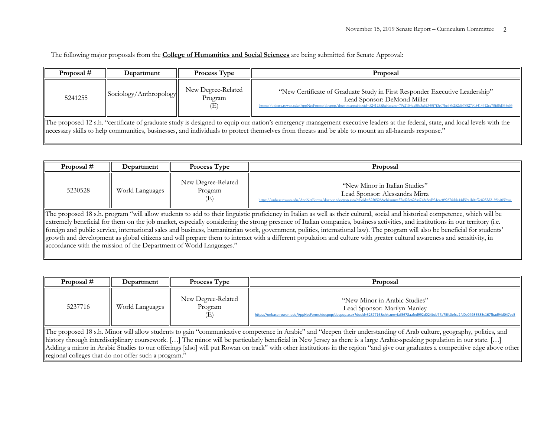| Proposal #                                                                                                                                                                                                                                                                                                                           | Department             | Process Type                        | Proposal                                                                                                                                                                                                                                                    |  |
|--------------------------------------------------------------------------------------------------------------------------------------------------------------------------------------------------------------------------------------------------------------------------------------------------------------------------------------|------------------------|-------------------------------------|-------------------------------------------------------------------------------------------------------------------------------------------------------------------------------------------------------------------------------------------------------------|--|
| 5241255                                                                                                                                                                                                                                                                                                                              | Sociology/Anthropology | New Degree-Related<br>Program<br>(E | "New Certificate of Graduate Study in First Responder Executive Leadership"<br>Lead Sponsor: DeMond Miller<br>https://onbase.rowan.edu/AppNetForms/docpop/docpop.aspx?docid=5241255&chksum=79c2154de88a3a52340f7f3c07be98b252db78827905414312ce78fd8d335c55 |  |
| The proposed 12 s.h. "certificate of graduate study is designed to equip our nation's emergency management executive leaders at the federal, state, and local levels with the<br>necessary skills to help communities, businesses, and individuals to protect themselves from threats and be able to mount an all-hazards response." |                        |                                     |                                                                                                                                                                                                                                                             |  |

| Proposal $#$                                                                                                                                                                   | Department                                                                                                                                                                     | <b>Process Type</b>                  | Proposal                                                                                                                                                                                                          |  |  |
|--------------------------------------------------------------------------------------------------------------------------------------------------------------------------------|--------------------------------------------------------------------------------------------------------------------------------------------------------------------------------|--------------------------------------|-------------------------------------------------------------------------------------------------------------------------------------------------------------------------------------------------------------------|--|--|
| 5230528                                                                                                                                                                        | World Languages                                                                                                                                                                | New Degree-Related<br>Program<br>(E) | "New Minor in Italian Studies"<br>Lead Sponsor: Alessandra Mirra<br>https://onbase.rowan.edu/AppNetForms/docpop/docpop.aspx?docid=5230528&chksum=37ad22e628a47a2e8ed931cac092876dda44d59a1b0ef7e8255d2198b4059cae |  |  |
|                                                                                                                                                                                | The proposed 18 s.h. program "will allow students to add to their linguistic proficiency in Italian as well as their cultural, social and historical competence, which will be |                                      |                                                                                                                                                                                                                   |  |  |
| extremely beneficial for them on the job market, especially considering the strong presence of Italian companies, business activities, and institutions in our territory (i.e. |                                                                                                                                                                                |                                      |                                                                                                                                                                                                                   |  |  |
| foreign and public service, international sales and business, humanitarian work, government, politics, international law). The program will also be beneficial for students'   |                                                                                                                                                                                |                                      |                                                                                                                                                                                                                   |  |  |
| growth and development as global citizens and will prepare them to interact with a different population and culture with greater cultural awareness and sensitivity, in        |                                                                                                                                                                                |                                      |                                                                                                                                                                                                                   |  |  |

accordance with the mission of the Department of World Languages."

| Proposal #                                                                                                                                                                     | Department                                                                                                                                                            | Process Type                         | Proposal                                                                                                                                                                                                       |  |  |
|--------------------------------------------------------------------------------------------------------------------------------------------------------------------------------|-----------------------------------------------------------------------------------------------------------------------------------------------------------------------|--------------------------------------|----------------------------------------------------------------------------------------------------------------------------------------------------------------------------------------------------------------|--|--|
| 5237716                                                                                                                                                                        | World Languages                                                                                                                                                       | New Degree-Related<br>Program<br>(E) | "New Minor in Arabic Studies"<br>Lead Sponsor: Marilyn Manley<br>https://onbase.rowan.edu/AppNetForms/docpop/docpop.aspx?docid=5237716&chksum=faf5678aafed992d024bcb77a75fc0efca2fd0e04985583c167fbad94d047ec5 |  |  |
|                                                                                                                                                                                | The proposed 18 s.h. Minor will allow students to gain "communicative competence in Arabic" and "deepen their understanding of Arab culture, geography, politics, and |                                      |                                                                                                                                                                                                                |  |  |
|                                                                                                                                                                                |                                                                                                                                                                       |                                      | history through interdisciplinary coursework. [] The minor will be particularly beneficial in New Jersey as there is a large Arabic-speaking population in our state. []                                       |  |  |
| Adding a minor in Arabic Studies to our offerings [also] will put Rowan on track" with other institutions in the region "and give our graduates a competitive edge above other |                                                                                                                                                                       |                                      |                                                                                                                                                                                                                |  |  |
|                                                                                                                                                                                | regional colleges that do not offer such a program."                                                                                                                  |                                      |                                                                                                                                                                                                                |  |  |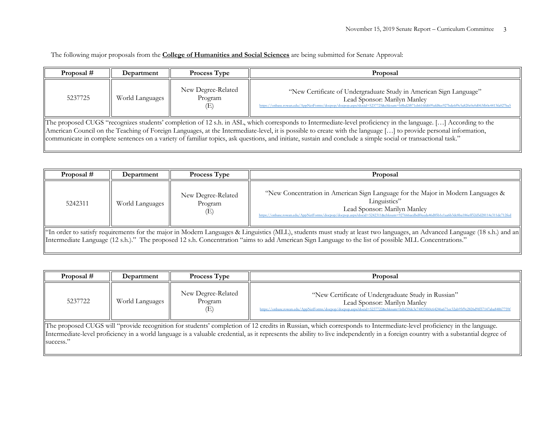| Proposal # | Department                                                                                                                                                                                                                                                                                                                                                                                                                                                                                         | <b>Process Type</b>                  | Proposal                                                                                                                                                                                                                                            |  |  |
|------------|----------------------------------------------------------------------------------------------------------------------------------------------------------------------------------------------------------------------------------------------------------------------------------------------------------------------------------------------------------------------------------------------------------------------------------------------------------------------------------------------------|--------------------------------------|-----------------------------------------------------------------------------------------------------------------------------------------------------------------------------------------------------------------------------------------------------|--|--|
| 5237725    | World Languages                                                                                                                                                                                                                                                                                                                                                                                                                                                                                    | New Degree-Related<br>Program<br>(E) | "New Certificate of Undergraduate Study in American Sign Language"<br>Lead Sponsor: Marilyn Manley<br>https://onbase.rowan.edu/AppNetForms/docpop/docpop.aspx?docid=5237725&chksum=b8bd2f871eb616fd609afd8ec927bde6f9c5a820c0e0d063fb0e4413fa027ba5 |  |  |
|            | The proposed CUGS "recognizes students' completion of 12 s.h. in ASL, which corresponds to Intermediate-level proficiency in the language. [] According to the<br>American Council on the Teaching of Foreign Languages, at the Intermediate-level, it is possible to create with the language [] to provide personal information,<br>communicate in complete sentences on a variety of familiar topics, ask questions, and initiate, sustain and conclude a simple social or transactional task." |                                      |                                                                                                                                                                                                                                                     |  |  |

| Proposal #                                                                                                                                                                                                                                                                                                                          | Department      | <b>Process Type</b>                  | Proposal                                                                                                                                                                                                                                                                          |  |
|-------------------------------------------------------------------------------------------------------------------------------------------------------------------------------------------------------------------------------------------------------------------------------------------------------------------------------------|-----------------|--------------------------------------|-----------------------------------------------------------------------------------------------------------------------------------------------------------------------------------------------------------------------------------------------------------------------------------|--|
| 5242311                                                                                                                                                                                                                                                                                                                             | World Languages | New Degree-Related<br>Program<br>(E) | "New Concentration in American Sign Language for the Major in Modern Languages &<br>Linguistics"<br>Lead Sponsor: Marilyn Manley<br>https://onbase.rowan.edu/AppNetForms/docpop/docpop.aspx?docid=5242311&chksum=927666acdbdf0eeda46d85b1e1aa6b3dc8ba186eff52d5d28114e311dc712fed |  |
| "In order to satisfy requirements for the major in Modern Languages & Linguistics (MLL), students must study at least two languages, an Advanced Language (18 s.h.) and an<br>Intermediate Language (12 s.h.)." The proposed 12 s.h. Concentration "aims to add American Sign Language to the list of possible MLL Concentrations." |                 |                                      |                                                                                                                                                                                                                                                                                   |  |

| Proposal #                                                                                                                                                                                                                                                                                                                                                            | Department      | <b>Process Type</b>                  | Proposal                                                                                                                                                                                                                             |  |
|-----------------------------------------------------------------------------------------------------------------------------------------------------------------------------------------------------------------------------------------------------------------------------------------------------------------------------------------------------------------------|-----------------|--------------------------------------|--------------------------------------------------------------------------------------------------------------------------------------------------------------------------------------------------------------------------------------|--|
| 5237722                                                                                                                                                                                                                                                                                                                                                               | World Languages | New Degree-Related<br>Program<br>(E) | "New Certificate of Undergraduate Study in Russian"<br>Lead Sponsor: Marilyn Manley<br>https://onbase.rowan.edu/AppNetForms/docpop/docpop.aspx?docid=5237722&chksum=bfbf39dc3c74859f60c64246a671ec32ab95f9c2826d9ff57147aba84867759f |  |
| The proposed CUGS will "provide recognition for students' completion of 12 credits in Russian, which corresponds to Intermediate-level proficiency in the language.<br>Intermediate-level proficiency in a world language is a valuable credential, as it represents the ability to live independently in a foreign country with a substantial degree of<br>success." |                 |                                      |                                                                                                                                                                                                                                      |  |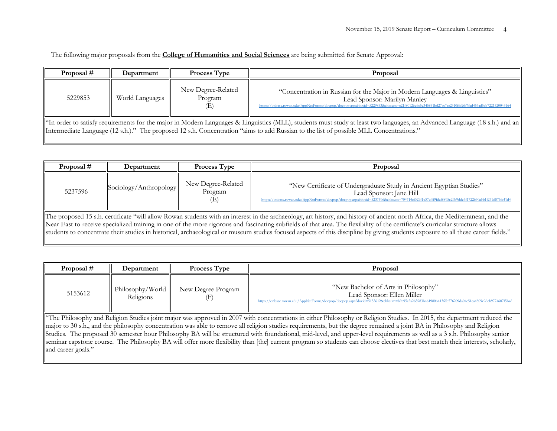| Proposal #                                                                                                                                                                                                                                                                                                           | Department      | <b>Process Type</b>                  | Proposal                                                                                                                                                                                                                                                    |  |
|----------------------------------------------------------------------------------------------------------------------------------------------------------------------------------------------------------------------------------------------------------------------------------------------------------------------|-----------------|--------------------------------------|-------------------------------------------------------------------------------------------------------------------------------------------------------------------------------------------------------------------------------------------------------------|--|
| 5229853                                                                                                                                                                                                                                                                                                              | World Languages | New Degree-Related<br>Program<br>(E) | "Concentration in Russian for the Major in Modern Languages & Linguistics"<br>Lead Sponsor: Marilyn Manley<br>https://onbase.rowan.edu/AppNetForms/docpop/docpop.aspx?docid=5229853&chksum=c21f80126edc5e345851bd27ac7ae2310fdf26f7fad453ad5ab7221520043164 |  |
| "In order to satisfy requirements for the major in Modern Languages & Linguistics (MLL), students must study at least two languages, an Advanced Language (18 s.h.) and an<br>Intermediate Language (12 s.h.)." The proposed 12 s.h. Concentration "aims to add Russian to the list of possible MLL Concentrations." |                 |                                      |                                                                                                                                                                                                                                                             |  |

| Proposal #                                                                                                                                                                                                                                                                                                                                                                                                                                                                                                                                           | Department             | <b>Process Type</b>           | Proposal                                                                                                                                                                                                                                         |  |
|------------------------------------------------------------------------------------------------------------------------------------------------------------------------------------------------------------------------------------------------------------------------------------------------------------------------------------------------------------------------------------------------------------------------------------------------------------------------------------------------------------------------------------------------------|------------------------|-------------------------------|--------------------------------------------------------------------------------------------------------------------------------------------------------------------------------------------------------------------------------------------------|--|
| 5237596                                                                                                                                                                                                                                                                                                                                                                                                                                                                                                                                              | Sociology/Anthropology | New Degree-Related<br>Program | "New Certificate of Undergraduate Study in Ancient Egyptian Studies"<br>Lead Sponsor: Jane Hill<br>https://onbase.rowan.edu/AppNetForms/docpop/docpop.aspx?docid=5237596&chksum=704714ef329f1e37efff9fdaf8895c29b9dde3f1722630a5b1f231d876fa41d4 |  |
| The proposed 15 s.h. certificate "will allow Rowan students with an interest in the archaeology, art history, and history of ancient north Africa, the Mediterranean, and the<br>Near East to receive specialized training in one of the more rigorous and fascinating subfields of that area. The flexibility of the certificate's curricular structure allows<br>students to concentrate their studies in historical, archaeological or museum studies focused aspects of this discipline by giving students exposure to all these career fields." |                        |                               |                                                                                                                                                                                                                                                  |  |

| Proposal # | Department                   | <b>Process Type</b> | Proposal                                                                                                                                                                                                           |
|------------|------------------------------|---------------------|--------------------------------------------------------------------------------------------------------------------------------------------------------------------------------------------------------------------|
| 5153612    | Philosophy/Word<br>Religions | New Degree Program  | "New Bachelor of Arts in Philosophy"<br>Lead Sponsor: Ellen Miller<br>https://onbase.rowan.edu/AppNetForms/docpop/docpop.aspx?docid=5153612&chksum=b9e95a2a2b5983b461980b413fdb576209da04c51ca4809c9dcb9774607f5ba |

The Philosophy and Religion Studies joint major was approved in 2007 with concentrations in either Philosophy or Religion Studies. In 2015, the department reduced the major to 30 s.h., and the philosophy concentration was able to remove all religion studies requirements, but the degree remained a joint BA in Philosophy and Religion Studies. The proposed 30 semester hour Philosophy BA will be structured with foundational, mid-level, and upper-level requirements as well as a 3 s.h. Philosophy senior seminar capstone course. The Philosophy BA will offer more flexibility than [the] current program so students can choose electives that best match their interests, scholarly, and career goals."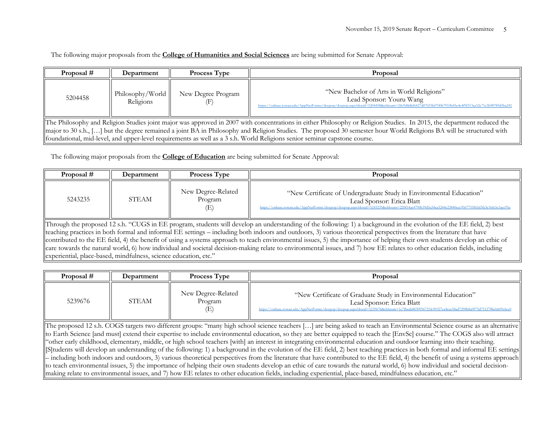| Proposal $#$                                                                                                                                                                                                                                                                                                                                                                                                                                                                | Department                    | <b>Process Type</b> | Proposal                                                                                                                                                                                                               |  |
|-----------------------------------------------------------------------------------------------------------------------------------------------------------------------------------------------------------------------------------------------------------------------------------------------------------------------------------------------------------------------------------------------------------------------------------------------------------------------------|-------------------------------|---------------------|------------------------------------------------------------------------------------------------------------------------------------------------------------------------------------------------------------------------|--|
| 5204458                                                                                                                                                                                                                                                                                                                                                                                                                                                                     | Philosophy/World<br>Religions | New Degree Program  | "New Bachelor of Arts in World Religions"<br>Lead Sponsor: Youru Wang<br>https://onbase.rowan.edu/AppNetForms/docpop/docpop.aspx?docid=5204458&chksum=24c9d8dbf6427d07033b0700b7953b45e4c4f9f313aa32e71e3b98789d5ba241 |  |
| The Philosophy and Religion Studies joint major was approved in 2007 with concentrations in either Philosophy or Religion Studies. In 2015, the department reduced the<br>major to 30 s.h., [] but the degree remained a joint BA in Philosophy and Religion Studies. The proposed 30 semester hour World Religions BA will be structured with<br>foundational, mid-level, and upper-level requirements as well as a 3 s.h. World Religions senior seminar capstone course. |                               |                     |                                                                                                                                                                                                                        |  |

The following major proposals from the **College of Education** are being submitted for Senate Approval:

| Proposal # | Department | <b>Process Type</b>                  | Proposal                                                                                                                                                                                                                                          |
|------------|------------|--------------------------------------|---------------------------------------------------------------------------------------------------------------------------------------------------------------------------------------------------------------------------------------------------|
| 5243235    | STEAM      | New Degree-Related<br>Program<br>(E) | "New Certificate of Undergraduate Study in Environmental Education"<br>Lead Sponsor: Erica Blatt<br>https://onbase.rowan.edu/AppNetForms/docpop/docpop.aspx?docid=5243235&chksum=220f14ac4790b39d5a54ea5244e23840ccc9567755f65d3fa3c1bfe5e3acc95a |

Through the proposed 12 s.h. "CUGS in EE program, students will develop an understanding of the following: 1) a background in the evolution of the EE field, 2) best teaching practices in both formal and informal EE settings – including both indoors and outdoors, 3) various theoretical perspectives from the literature that have contributed to the EE field, 4) the benefit of using a systems approach to teach environmental issues, 5) the importance of helping their own students develop an ethic of care towards the natural world, 6) how individual and societal decision-making relate to environmental issues, and 7) how EE relates to other education fields, including experiential, place-based, mindfulness, science education, etc."

| Proposal # | Department | <b>Process Type</b>                  | Proposal                                                                                                                                                                                                                                     |
|------------|------------|--------------------------------------|----------------------------------------------------------------------------------------------------------------------------------------------------------------------------------------------------------------------------------------------|
| 5239676    | STEAM      | New Degree-Related<br>Program<br>(E) | "New Certificate of Graduate Study in Environmental Education"<br>Lead Sponsor: Erica Blatt<br>https://onbase.rowan.edu/AppNetForms/docpop/docpop.aspx?docid=5239676&chksum=1c7fbedd4f30956721fc90327ea4ece58ad7298b8a0975d751278beb609c6cc0 |

The proposed 12 s.h. COGS targets two different groups: "many high school science teachers […] are being asked to teach an Environmental Science course as an alternative to Earth Science [and must] extend their expertise to include environmental education, so they are better equipped to teach the [EnvSc] course." The COGS also will attract "other early childhood, elementary, middle, or high school teachers [with] an interest in integrating environmental education and outdoor learning into their teaching. [S]tudents will develop an understanding of the following: 1) a background in the evolution of the EE field, 2) best teaching practices in both formal and informal EE settings – including both indoors and outdoors, 3) various theoretical perspectives from the literature that have contributed to the EE field, 4) the benefit of using a systems approach to teach environmental issues, 5) the importance of helping their own students develop an ethic of care towards the natural world, 6) how individual and societal decisionmaking relate to environmental issues, and 7) how EE relates to other education fields, including experiential, place-based, mindfulness education, etc."